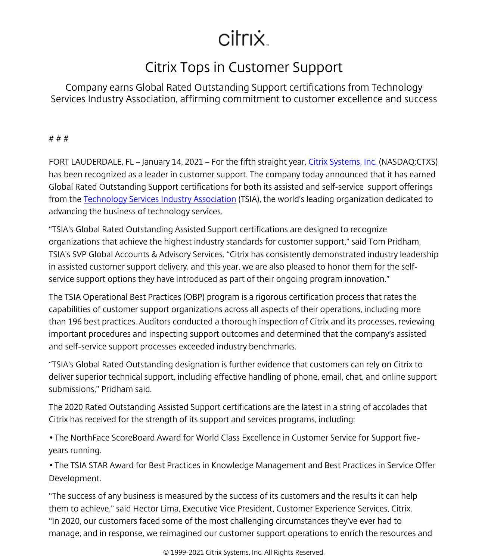## citrix.

## Citrix Tops in Customer Support

Company earns Global Rated Outstanding Support certifications from Technology Services Industry Association, affirming commitment to customer excellence and success

# # #

FORT LAUDERDALE, FL – January 14, 2021 – For the fifth straight year, [Citrix Systems, Inc.](/content/citrix/en-gb/
            .html) (NASDAQ:CTXS) has been recognized as a leader in customer support. The company today announced that it has earned Global Rated Outstanding Support certifications for both its assisted and self-service support offerings from the [Technology Services Industry Association](https://tsia.com/) (TSIA), the world's leading organization dedicated to advancing the business of technology services.

"TSIA's Global Rated Outstanding Assisted Support certifications are designed to recognize organizations that achieve the highest industry standards for customer support," said Tom Pridham, TSIA's SVP Global Accounts & Advisory Services. "Citrix has consistently demonstrated industry leadership in assisted customer support delivery, and this year, we are also pleased to honor them for the selfservice support options they have introduced as part of their ongoing program innovation."

The TSIA Operational Best Practices (OBP) program is a rigorous certification process that rates the capabilities of customer support organizations across all aspects of their operations, including more than 196 best practices. Auditors conducted a thorough inspection of Citrix and its processes, reviewing important procedures and inspecting support outcomes and determined that the company's assisted and self-service support processes exceeded industry benchmarks.

"TSIA's Global Rated Outstanding designation is further evidence that customers can rely on Citrix to deliver superior technical support, including effective handling of phone, email, chat, and online support submissions," Pridham said.

The 2020 Rated Outstanding Assisted Support certifications are the latest in a string of accolades that Citrix has received for the strength of its support and services programs, including:

• The NorthFace ScoreBoard Award for World Class Excellence in Customer Service for Support fiveyears running.

• The TSIA STAR Award for Best Practices in Knowledge Management and Best Practices in Service Offer Development.

"The success of any business is measured by the success of its customers and the results it can help them to achieve," said Hector Lima, Executive Vice President, Customer Experience Services, Citrix. "In 2020, our customers faced some of the most challenging circumstances they've ever had to manage, and in response, we reimagined our customer support operations to enrich the resources and

© 1999-2021 Citrix Systems, Inc. All Rights Reserved.